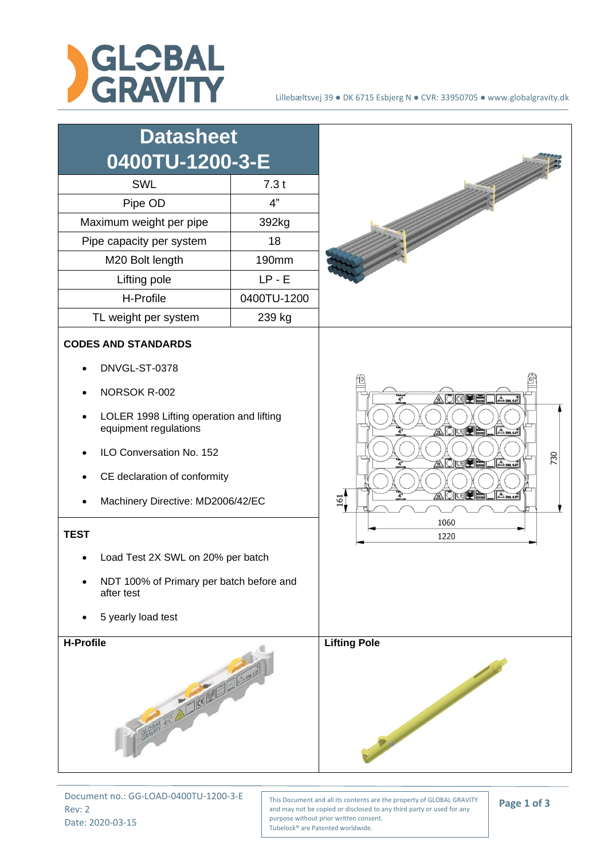

| <b>Datasheet</b><br>0400TU-1200-3-E<br><b>SWL</b><br>Pipe OD<br>Maximum weight per pipe<br>Pipe capacity per system<br>M20 Bolt length<br>Lifting pole<br>H-Profile<br>TL weight per system                                                                                                                                                                           | 7.3t<br>4"<br>392kg<br>18<br>190mm<br>$LP - E$<br>0400TU-1200<br>239 kg |                                                                                                                                                        |
|-----------------------------------------------------------------------------------------------------------------------------------------------------------------------------------------------------------------------------------------------------------------------------------------------------------------------------------------------------------------------|-------------------------------------------------------------------------|--------------------------------------------------------------------------------------------------------------------------------------------------------|
| <b>CODES AND STANDARDS</b><br>DNVGL-ST-0378<br>NORSOK R-002<br>LOLER 1998 Lifting operation and lifting<br>equipment regulations<br>ILO Conversation No. 152<br>CE declaration of conformity<br>Machinery Directive: MD2006/42/EC<br><b>TEST</b><br>Load Test 2X SWL on 20% per batch<br>NDT 100% of Primary per batch before and<br>after test<br>5 yearly load test |                                                                         | AOKIE<br>$\mathbb{A}_{\mathsf{sm.607}}$<br>ADUPELAM<br>730<br>AQICE HAM<br><u>a Oriye</u><br>$A$ <sub>SM</sub> 6.0T<br>$\frac{161}{2}$<br>1060<br>1220 |
| <b>H-Profile</b><br>CRAFTA STATE OF THE COMMUNICATION                                                                                                                                                                                                                                                                                                                 |                                                                         | <b>Lifting Pole</b>                                                                                                                                    |

Document no.: GG-LOAD-0400TU-1200-3-E Rev: 2 Date: 2020-03-15

This Document and all its contents are the property of GLOBAL GRAVITY and may not be copied or disclosed to any third party or used for any purpose without prior written consent. Tubelock® are Patented worldwide.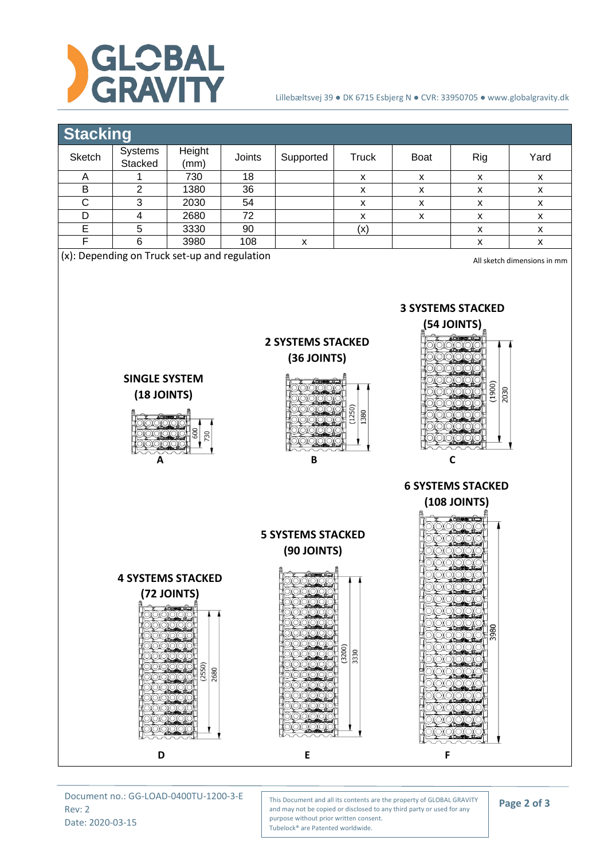

## Lillebæltsvej 39 ● DK 6715 Esbjerg N ● CVR: 33950705 ● www.globalgravity.dk



Document no.: GG-LOAD-0400TU-1200-3-E Rev: 2 Date: 2020-03-15

This Document and all its contents are the property of GLOBAL GRAVITY and may not be copied or disclosed to any third party or used for any purpose without prior written consent. Tubelock® are Patented worldwide.

## **Page 2 of 3**